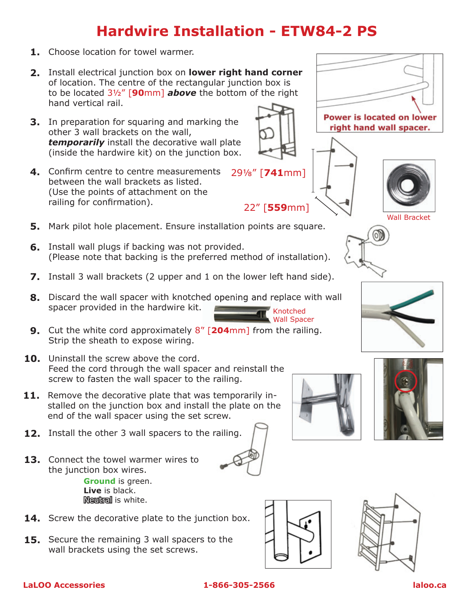## **Hardwire Installation - ETW84-2 PS**

- **1.** Choose location for towel warmer.
- Install electrical junction box on **lower right hand corner 2.** of location. The centre of the rectangular junction box is to be located 3½" [**90**mm] *above* the bottom of the right hand vertical rail.
- **3.** In preparation for squaring and marking the other 3 wall brackets on the wall, *temporarily* install the decorative wall plate (inside the hardwire kit) on the junction box.
- Confirm centre to centre measurements **4.** between the wall brackets as listed. (Use the points of attachment on the railing for confirmation).
- **5.** Mark pilot hole placement. Ensure installation points are square.
- **6.** Install wall plugs if backing was not provided. (Please note that backing is the preferred method of installation).
- **7.** Install 3 wall brackets (2 upper and 1 on the lower left hand side).
- **8.** Discard the wall spacer with knotched opening and replace with wall spacer provided in the hardwire kit. Knotched
- **9.** Cut the white cord approximately 8" [**204**mm] from the railing. Strip the sheath to expose wiring.
- **10.** Uninstall the screw above the cord. Feed the cord through the wall spacer and reinstall the screw to fasten the wall spacer to the railing.
- **11.** Remove the decorative plate that was temporarily installed on the junction box and install the plate on the end of the wall spacer using the set screw.
- **12.** Install the other 3 wall spacers to the railing.
- **13.** Connect the towel warmer wires to the junction box wires. **Ground** is green. **Live** is black. Neutral is white.
- **14.** Screw the decorative plate to the junction box.
- **15.** Secure the remaining 3 wall spacers to the wall brackets using the set screws.